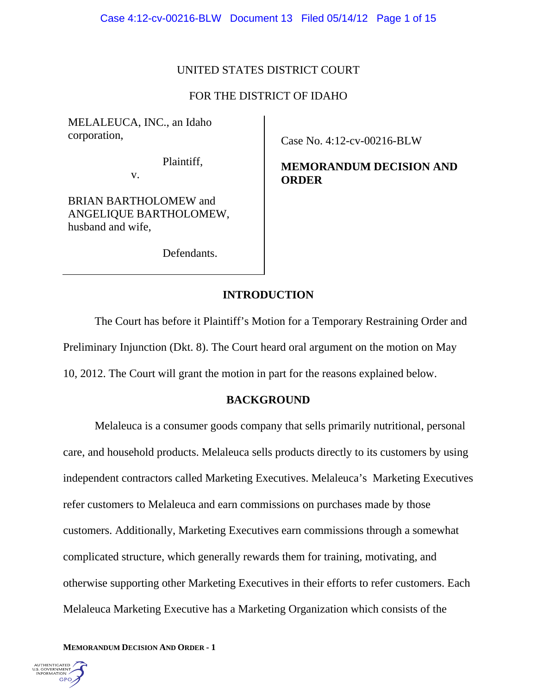# UNITED STATES DISTRICT COURT

# FOR THE DISTRICT OF IDAHO

MELALEUCA, INC., an Idaho corporation,

Plaintiff,

v.

BRIAN BARTHOLOMEW and ANGELIQUE BARTHOLOMEW, husband and wife,

Defendants.

Case No. 4:12-cv-00216-BLW

**MEMORANDUM DECISION AND ORDER** 

# **INTRODUCTION**

The Court has before it Plaintiff's Motion for a Temporary Restraining Order and Preliminary Injunction (Dkt. 8). The Court heard oral argument on the motion on May 10, 2012. The Court will grant the motion in part for the reasons explained below.

## **BACKGROUND**

 Melaleuca is a consumer goods company that sells primarily nutritional, personal care, and household products. Melaleuca sells products directly to its customers by using independent contractors called Marketing Executives. Melaleuca's Marketing Executives refer customers to Melaleuca and earn commissions on purchases made by those customers. Additionally, Marketing Executives earn commissions through a somewhat complicated structure, which generally rewards them for training, motivating, and otherwise supporting other Marketing Executives in their efforts to refer customers. Each Melaleuca Marketing Executive has a Marketing Organization which consists of the

**MEMORANDUM DECISION AND ORDER - 1** 

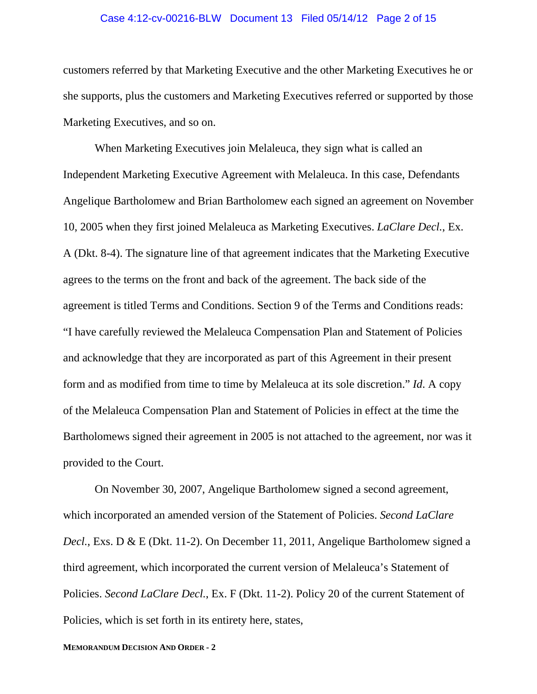#### Case 4:12-cv-00216-BLW Document 13 Filed 05/14/12 Page 2 of 15

customers referred by that Marketing Executive and the other Marketing Executives he or she supports, plus the customers and Marketing Executives referred or supported by those Marketing Executives, and so on.

 When Marketing Executives join Melaleuca, they sign what is called an Independent Marketing Executive Agreement with Melaleuca. In this case, Defendants Angelique Bartholomew and Brian Bartholomew each signed an agreement on November 10, 2005 when they first joined Melaleuca as Marketing Executives. *LaClare Decl.*, Ex. A (Dkt. 8-4). The signature line of that agreement indicates that the Marketing Executive agrees to the terms on the front and back of the agreement. The back side of the agreement is titled Terms and Conditions. Section 9 of the Terms and Conditions reads: "I have carefully reviewed the Melaleuca Compensation Plan and Statement of Policies and acknowledge that they are incorporated as part of this Agreement in their present form and as modified from time to time by Melaleuca at its sole discretion." *Id*. A copy of the Melaleuca Compensation Plan and Statement of Policies in effect at the time the Bartholomews signed their agreement in 2005 is not attached to the agreement, nor was it provided to the Court.

 On November 30, 2007, Angelique Bartholomew signed a second agreement, which incorporated an amended version of the Statement of Policies. *Second LaClare Decl.*, Exs. D & E (Dkt. 11-2). On December 11, 2011, Angelique Bartholomew signed a third agreement, which incorporated the current version of Melaleuca's Statement of Policies. *Second LaClare Decl.*, Ex. F (Dkt. 11-2). Policy 20 of the current Statement of Policies, which is set forth in its entirety here, states,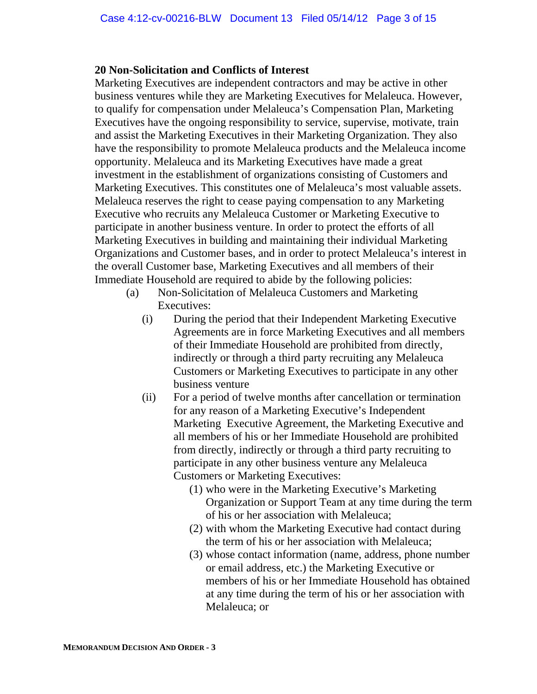## **20 Non-Solicitation and Conflicts of Interest**

 Marketing Executives are independent contractors and may be active in other business ventures while they are Marketing Executives for Melaleuca. However, to qualify for compensation under Melaleuca's Compensation Plan, Marketing Executives have the ongoing responsibility to service, supervise, motivate, train and assist the Marketing Executives in their Marketing Organization. They also have the responsibility to promote Melaleuca products and the Melaleuca income opportunity. Melaleuca and its Marketing Executives have made a great investment in the establishment of organizations consisting of Customers and Marketing Executives. This constitutes one of Melaleuca's most valuable assets. Melaleuca reserves the right to cease paying compensation to any Marketing Executive who recruits any Melaleuca Customer or Marketing Executive to participate in another business venture. In order to protect the efforts of all Marketing Executives in building and maintaining their individual Marketing Organizations and Customer bases, and in order to protect Melaleuca's interest in the overall Customer base, Marketing Executives and all members of their Immediate Household are required to abide by the following policies:

- (a) Non-Solicitation of Melaleuca Customers and Marketing Executives:
	- (i) During the period that their Independent Marketing Executive Agreements are in force Marketing Executives and all members of their Immediate Household are prohibited from directly, indirectly or through a third party recruiting any Melaleuca Customers or Marketing Executives to participate in any other business venture
	- (ii) For a period of twelve months after cancellation or termination for any reason of a Marketing Executive's Independent Marketing Executive Agreement, the Marketing Executive and all members of his or her Immediate Household are prohibited from directly, indirectly or through a third party recruiting to participate in any other business venture any Melaleuca Customers or Marketing Executives:
		- (1) who were in the Marketing Executive's Marketing Organization or Support Team at any time during the term of his or her association with Melaleuca;
		- (2) with whom the Marketing Executive had contact during the term of his or her association with Melaleuca;
		- (3) whose contact information (name, address, phone number or email address, etc.) the Marketing Executive or members of his or her Immediate Household has obtained at any time during the term of his or her association with Melaleuca; or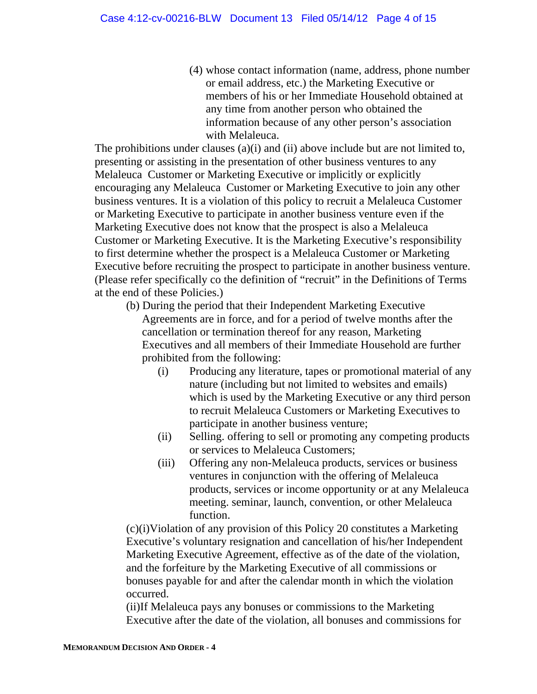(4) whose contact information (name, address, phone number or email address, etc.) the Marketing Executive or members of his or her Immediate Household obtained at any time from another person who obtained the information because of any other person's association with Melaleuca.

The prohibitions under clauses (a)(i) and (ii) above include but are not limited to, presenting or assisting in the presentation of other business ventures to any Melaleuca Customer or Marketing Executive or implicitly or explicitly encouraging any Melaleuca Customer or Marketing Executive to join any other business ventures. It is a violation of this policy to recruit a Melaleuca Customer or Marketing Executive to participate in another business venture even if the Marketing Executive does not know that the prospect is also a Melaleuca Customer or Marketing Executive. It is the Marketing Executive's responsibility to first determine whether the prospect is a Melaleuca Customer or Marketing Executive before recruiting the prospect to participate in another business venture. (Please refer specifically co the definition of "recruit" in the Definitions of Terms at the end of these Policies.)

- (b) During the period that their Independent Marketing Executive Agreements are in force, and for a period of twelve months after the cancellation or termination thereof for any reason, Marketing Executives and all members of their Immediate Household are further prohibited from the following:
	- (i) Producing any literature, tapes or promotional material of any nature (including but not limited to websites and emails) which is used by the Marketing Executive or any third person to recruit Melaleuca Customers or Marketing Executives to participate in another business venture;
	- (ii) Selling. offering to sell or promoting any competing products or services to Melaleuca Customers;
	- (iii) Offering any non-Melaleuca products, services or business ventures in conjunction with the offering of Melaleuca products, services or income opportunity or at any Melaleuca meeting. seminar, launch, convention, or other Melaleuca function.

(c)(i)Violation of any provision of this Policy 20 constitutes a Marketing Executive's voluntary resignation and cancellation of his/her Independent Marketing Executive Agreement, effective as of the date of the violation, and the forfeiture by the Marketing Executive of all commissions or bonuses payable for and after the calendar month in which the violation occurred.

(ii)If Melaleuca pays any bonuses or commissions to the Marketing Executive after the date of the violation, all bonuses and commissions for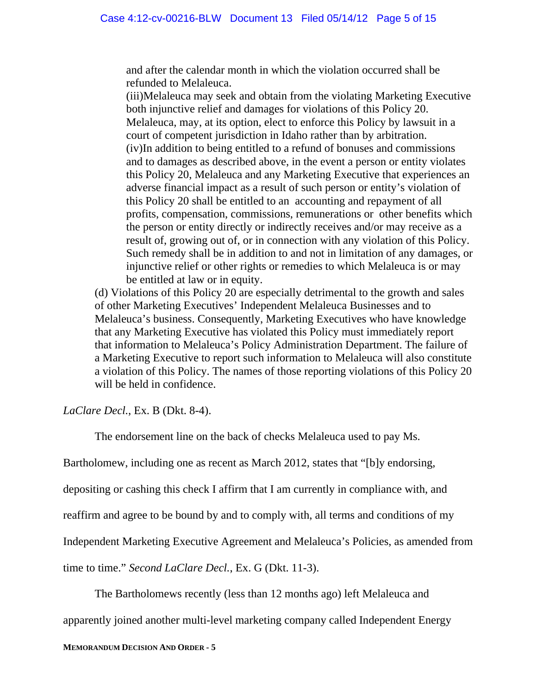and after the calendar month in which the violation occurred shall be refunded to Melaleuca.

(iii)Melaleuca may seek and obtain from the violating Marketing Executive both injunctive relief and damages for violations of this Policy 20. Melaleuca, may, at its option, elect to enforce this Policy by lawsuit in a court of competent jurisdiction in Idaho rather than by arbitration. (iv)In addition to being entitled to a refund of bonuses and commissions and to damages as described above, in the event a person or entity violates this Policy 20, Melaleuca and any Marketing Executive that experiences an adverse financial impact as a result of such person or entity's violation of this Policy 20 shall be entitled to an accounting and repayment of all profits, compensation, commissions, remunerations or other benefits which the person or entity directly or indirectly receives and/or may receive as a result of, growing out of, or in connection with any violation of this Policy. Such remedy shall be in addition to and not in limitation of any damages, or injunctive relief or other rights or remedies to which Melaleuca is or may be entitled at law or in equity.

 (d) Violations of this Policy 20 are especially detrimental to the growth and sales of other Marketing Executives' Independent Melaleuca Businesses and to Melaleuca's business. Consequently, Marketing Executives who have knowledge that any Marketing Executive has violated this Policy must immediately report that information to Melaleuca's Policy Administration Department. The failure of a Marketing Executive to report such information to Melaleuca will also constitute a violation of this Policy. The names of those reporting violations of this Policy 20 will be held in confidence.

*LaClare Decl.*, Ex. B (Dkt. 8-4).

The endorsement line on the back of checks Melaleuca used to pay Ms.

Bartholomew, including one as recent as March 2012, states that "[b]y endorsing,

depositing or cashing this check I affirm that I am currently in compliance with, and

reaffirm and agree to be bound by and to comply with, all terms and conditions of my

Independent Marketing Executive Agreement and Melaleuca's Policies, as amended from

time to time." *Second LaClare Decl.*, Ex. G (Dkt. 11-3).

The Bartholomews recently (less than 12 months ago) left Melaleuca and

apparently joined another multi-level marketing company called Independent Energy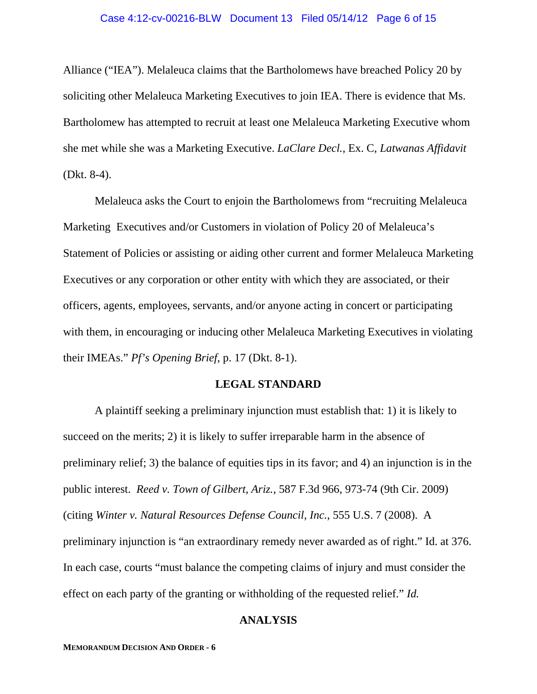Alliance ("IEA"). Melaleuca claims that the Bartholomews have breached Policy 20 by soliciting other Melaleuca Marketing Executives to join IEA. There is evidence that Ms. Bartholomew has attempted to recruit at least one Melaleuca Marketing Executive whom she met while she was a Marketing Executive. *LaClare Decl.*, Ex. C, *Latwanas Affidavit* (Dkt. 8-4).

Melaleuca asks the Court to enjoin the Bartholomews from "recruiting Melaleuca Marketing Executives and/or Customers in violation of Policy 20 of Melaleuca's Statement of Policies or assisting or aiding other current and former Melaleuca Marketing Executives or any corporation or other entity with which they are associated, or their officers, agents, employees, servants, and/or anyone acting in concert or participating with them, in encouraging or inducing other Melaleuca Marketing Executives in violating their IMEAs." *Pf's Opening Brief*, p. 17 (Dkt. 8-1).

### **LEGAL STANDARD**

 A plaintiff seeking a preliminary injunction must establish that: 1) it is likely to succeed on the merits; 2) it is likely to suffer irreparable harm in the absence of preliminary relief; 3) the balance of equities tips in its favor; and 4) an injunction is in the public interest. *Reed v. Town of Gilbert, Ariz.*, 587 F.3d 966, 973-74 (9th Cir. 2009) (citing *Winter v. Natural Resources Defense Council, Inc.*, 555 U.S. 7 (2008). A preliminary injunction is "an extraordinary remedy never awarded as of right." Id. at 376. In each case, courts "must balance the competing claims of injury and must consider the effect on each party of the granting or withholding of the requested relief." *Id.*

## **ANALYSIS**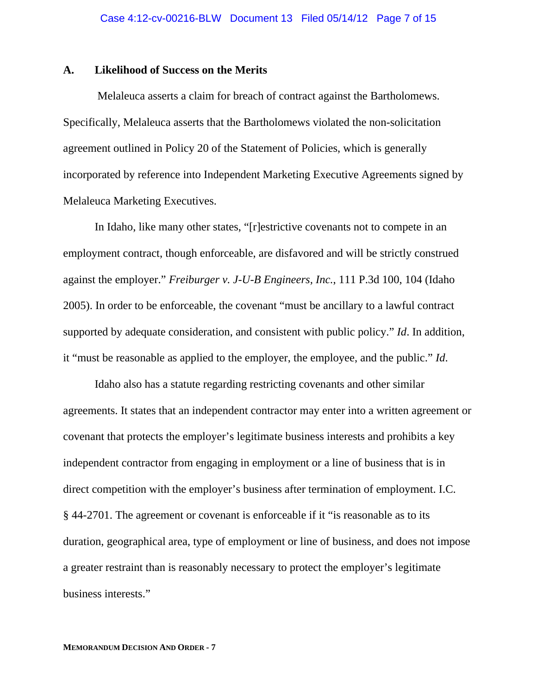### **A. Likelihood of Success on the Merits**

 Melaleuca asserts a claim for breach of contract against the Bartholomews. Specifically, Melaleuca asserts that the Bartholomews violated the non-solicitation agreement outlined in Policy 20 of the Statement of Policies, which is generally incorporated by reference into Independent Marketing Executive Agreements signed by Melaleuca Marketing Executives.

 In Idaho, like many other states, "[r]estrictive covenants not to compete in an employment contract, though enforceable, are disfavored and will be strictly construed against the employer." *Freiburger v. J-U-B Engineers, Inc.*, 111 P.3d 100, 104 (Idaho 2005). In order to be enforceable, the covenant "must be ancillary to a lawful contract supported by adequate consideration, and consistent with public policy." *Id*. In addition, it "must be reasonable as applied to the employer, the employee, and the public." *Id*.

Idaho also has a statute regarding restricting covenants and other similar agreements. It states that an independent contractor may enter into a written agreement or covenant that protects the employer's legitimate business interests and prohibits a key independent contractor from engaging in employment or a line of business that is in direct competition with the employer's business after termination of employment. I.C. § 44-2701. The agreement or covenant is enforceable if it "is reasonable as to its duration, geographical area, type of employment or line of business, and does not impose a greater restraint than is reasonably necessary to protect the employer's legitimate business interests."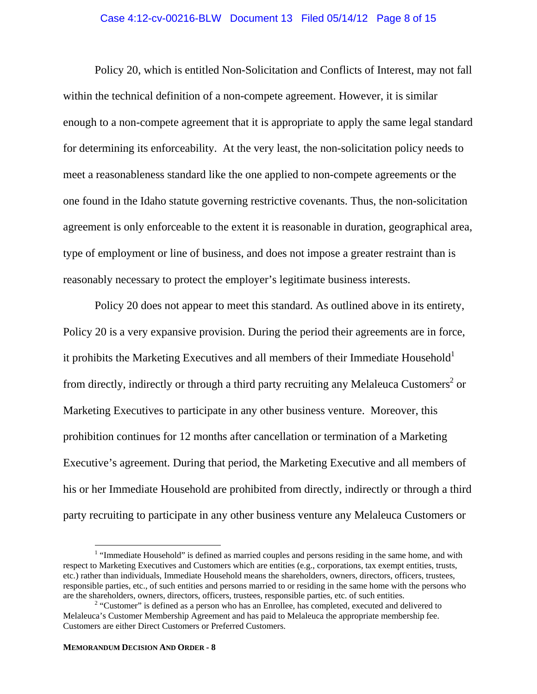#### Case 4:12-cv-00216-BLW Document 13 Filed 05/14/12 Page 8 of 15

Policy 20, which is entitled Non-Solicitation and Conflicts of Interest, may not fall within the technical definition of a non-compete agreement. However, it is similar enough to a non-compete agreement that it is appropriate to apply the same legal standard for determining its enforceability. At the very least, the non-solicitation policy needs to meet a reasonableness standard like the one applied to non-compete agreements or the one found in the Idaho statute governing restrictive covenants. Thus, the non-solicitation agreement is only enforceable to the extent it is reasonable in duration, geographical area, type of employment or line of business, and does not impose a greater restraint than is reasonably necessary to protect the employer's legitimate business interests.

Policy 20 does not appear to meet this standard. As outlined above in its entirety, Policy 20 is a very expansive provision. During the period their agreements are in force, it prohibits the Marketing Executives and all members of their Immediate Household<sup>1</sup> from directly, indirectly or through a third party recruiting any Melaleuca Customers<sup>2</sup> or Marketing Executives to participate in any other business venture. Moreover, this prohibition continues for 12 months after cancellation or termination of a Marketing Executive's agreement. During that period, the Marketing Executive and all members of his or her Immediate Household are prohibited from directly, indirectly or through a third party recruiting to participate in any other business venture any Melaleuca Customers or

 $\overline{a}$ 

<sup>&</sup>lt;sup>1</sup> "Immediate Household" is defined as married couples and persons residing in the same home, and with respect to Marketing Executives and Customers which are entities (e.g., corporations, tax exempt entities, trusts, etc.) rather than individuals, Immediate Household means the shareholders, owners, directors, officers, trustees, responsible parties, etc., of such entities and persons married to or residing in the same home with the persons who are the shareholders, owners, directors, officers, trustees, responsible parties, etc. of such entities. 2

 $2$  "Customer" is defined as a person who has an Enrollee, has completed, executed and delivered to Melaleuca's Customer Membership Agreement and has paid to Melaleuca the appropriate membership fee. Customers are either Direct Customers or Preferred Customers.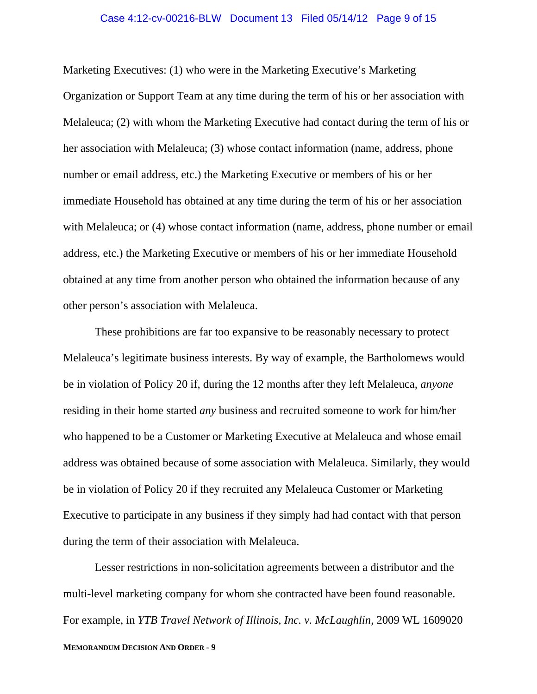#### Case 4:12-cv-00216-BLW Document 13 Filed 05/14/12 Page 9 of 15

Marketing Executives: (1) who were in the Marketing Executive's Marketing Organization or Support Team at any time during the term of his or her association with Melaleuca; (2) with whom the Marketing Executive had contact during the term of his or her association with Melaleuca; (3) whose contact information (name, address, phone number or email address, etc.) the Marketing Executive or members of his or her immediate Household has obtained at any time during the term of his or her association with Melaleuca; or (4) whose contact information (name, address, phone number or email address, etc.) the Marketing Executive or members of his or her immediate Household obtained at any time from another person who obtained the information because of any other person's association with Melaleuca.

These prohibitions are far too expansive to be reasonably necessary to protect Melaleuca's legitimate business interests. By way of example, the Bartholomews would be in violation of Policy 20 if, during the 12 months after they left Melaleuca, *anyone* residing in their home started *any* business and recruited someone to work for him/her who happened to be a Customer or Marketing Executive at Melaleuca and whose email address was obtained because of some association with Melaleuca. Similarly, they would be in violation of Policy 20 if they recruited any Melaleuca Customer or Marketing Executive to participate in any business if they simply had had contact with that person during the term of their association with Melaleuca.

Lesser restrictions in non-solicitation agreements between a distributor and the multi-level marketing company for whom she contracted have been found reasonable. For example, in *YTB Travel Network of Illinois, Inc. v. McLaughlin*, 2009 WL 1609020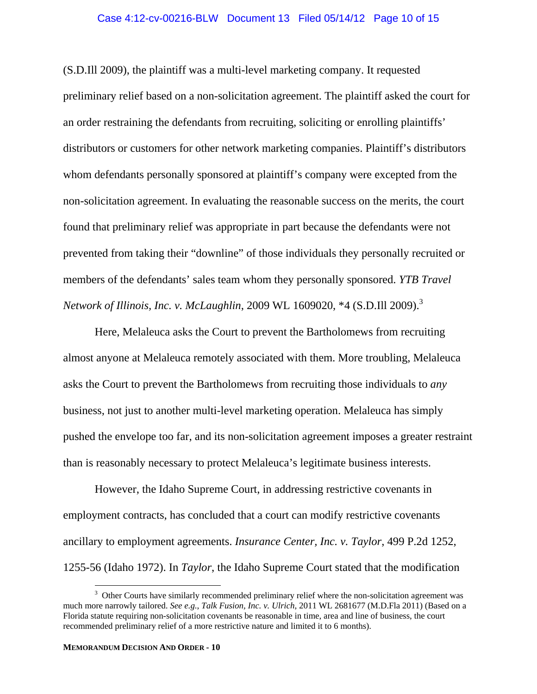#### Case 4:12-cv-00216-BLW Document 13 Filed 05/14/12 Page 10 of 15

(S.D.Ill 2009), the plaintiff was a multi-level marketing company. It requested preliminary relief based on a non-solicitation agreement. The plaintiff asked the court for an order restraining the defendants from recruiting, soliciting or enrolling plaintiffs' distributors or customers for other network marketing companies. Plaintiff's distributors whom defendants personally sponsored at plaintiff's company were excepted from the non-solicitation agreement. In evaluating the reasonable success on the merits, the court found that preliminary relief was appropriate in part because the defendants were not prevented from taking their "downline" of those individuals they personally recruited or members of the defendants' sales team whom they personally sponsored. *YTB Travel Network of Illinois, Inc. v. McLaughlin*, 2009 WL 1609020, \*4 (S.D.Ill 2009).3

Here, Melaleuca asks the Court to prevent the Bartholomews from recruiting almost anyone at Melaleuca remotely associated with them. More troubling, Melaleuca asks the Court to prevent the Bartholomews from recruiting those individuals to *any* business, not just to another multi-level marketing operation. Melaleuca has simply pushed the envelope too far, and its non-solicitation agreement imposes a greater restraint than is reasonably necessary to protect Melaleuca's legitimate business interests.

However, the Idaho Supreme Court, in addressing restrictive covenants in employment contracts, has concluded that a court can modify restrictive covenants ancillary to employment agreements. *Insurance Center, Inc. v. Taylor*, 499 P.2d 1252, 1255-56 (Idaho 1972). In *Taylor*, the Idaho Supreme Court stated that the modification

 $\overline{a}$ 

 $3$  Other Courts have similarly recommended preliminary relief where the non-solicitation agreement was much more narrowly tailored. *See e.g.*, *Talk Fusion, Inc. v. Ulrich*, 2011 WL 2681677 (M.D.Fla 2011) (Based on a Florida statute requiring non-solicitation covenants be reasonable in time, area and line of business, the court recommended preliminary relief of a more restrictive nature and limited it to 6 months).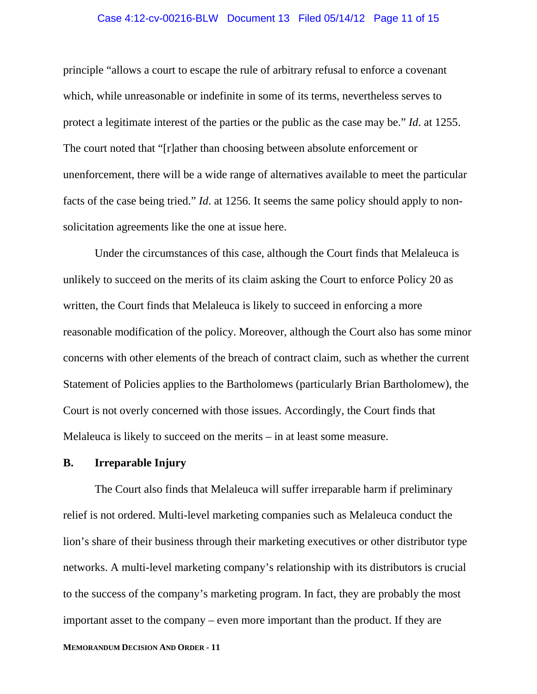#### Case 4:12-cv-00216-BLW Document 13 Filed 05/14/12 Page 11 of 15

principle "allows a court to escape the rule of arbitrary refusal to enforce a covenant which, while unreasonable or indefinite in some of its terms, nevertheless serves to protect a legitimate interest of the parties or the public as the case may be." *Id*. at 1255. The court noted that "[r]ather than choosing between absolute enforcement or unenforcement, there will be a wide range of alternatives available to meet the particular facts of the case being tried." *Id*. at 1256. It seems the same policy should apply to nonsolicitation agreements like the one at issue here.

Under the circumstances of this case, although the Court finds that Melaleuca is unlikely to succeed on the merits of its claim asking the Court to enforce Policy 20 as written, the Court finds that Melaleuca is likely to succeed in enforcing a more reasonable modification of the policy. Moreover, although the Court also has some minor concerns with other elements of the breach of contract claim, such as whether the current Statement of Policies applies to the Bartholomews (particularly Brian Bartholomew), the Court is not overly concerned with those issues. Accordingly, the Court finds that Melaleuca is likely to succeed on the merits – in at least some measure.

## **B. Irreparable Injury**

The Court also finds that Melaleuca will suffer irreparable harm if preliminary relief is not ordered. Multi-level marketing companies such as Melaleuca conduct the lion's share of their business through their marketing executives or other distributor type networks. A multi-level marketing company's relationship with its distributors is crucial to the success of the company's marketing program. In fact, they are probably the most important asset to the company – even more important than the product. If they are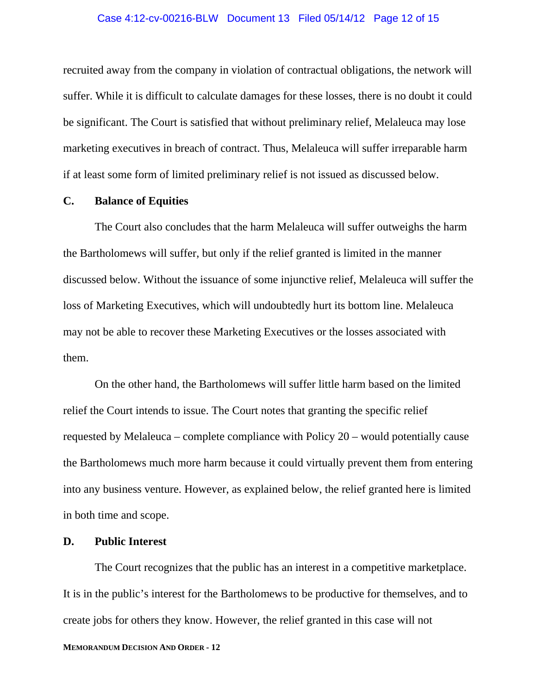#### Case 4:12-cv-00216-BLW Document 13 Filed 05/14/12 Page 12 of 15

recruited away from the company in violation of contractual obligations, the network will suffer. While it is difficult to calculate damages for these losses, there is no doubt it could be significant. The Court is satisfied that without preliminary relief, Melaleuca may lose marketing executives in breach of contract. Thus, Melaleuca will suffer irreparable harm if at least some form of limited preliminary relief is not issued as discussed below.

### **C. Balance of Equities**

The Court also concludes that the harm Melaleuca will suffer outweighs the harm the Bartholomews will suffer, but only if the relief granted is limited in the manner discussed below. Without the issuance of some injunctive relief, Melaleuca will suffer the loss of Marketing Executives, which will undoubtedly hurt its bottom line. Melaleuca may not be able to recover these Marketing Executives or the losses associated with them.

On the other hand, the Bartholomews will suffer little harm based on the limited relief the Court intends to issue. The Court notes that granting the specific relief requested by Melaleuca – complete compliance with Policy 20 – would potentially cause the Bartholomews much more harm because it could virtually prevent them from entering into any business venture. However, as explained below, the relief granted here is limited in both time and scope.

## **D. Public Interest**

The Court recognizes that the public has an interest in a competitive marketplace. It is in the public's interest for the Bartholomews to be productive for themselves, and to create jobs for others they know. However, the relief granted in this case will not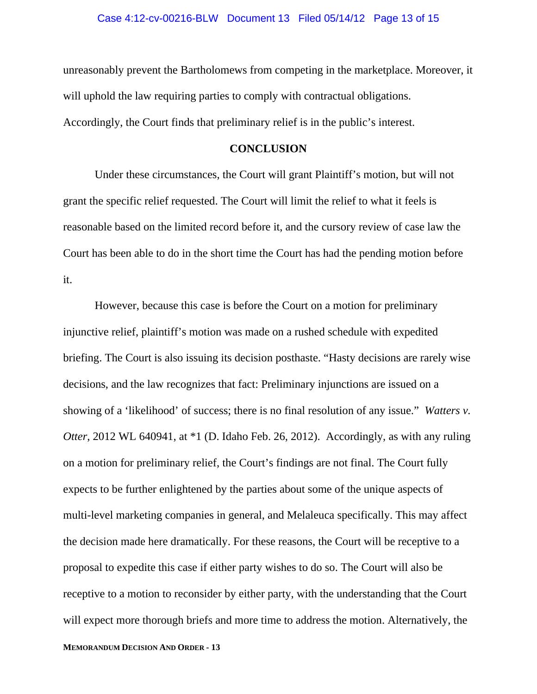unreasonably prevent the Bartholomews from competing in the marketplace. Moreover, it will uphold the law requiring parties to comply with contractual obligations. Accordingly, the Court finds that preliminary relief is in the public's interest.

### **CONCLUSION**

Under these circumstances, the Court will grant Plaintiff's motion, but will not grant the specific relief requested. The Court will limit the relief to what it feels is reasonable based on the limited record before it, and the cursory review of case law the Court has been able to do in the short time the Court has had the pending motion before it.

However, because this case is before the Court on a motion for preliminary injunctive relief, plaintiff's motion was made on a rushed schedule with expedited briefing. The Court is also issuing its decision posthaste. "Hasty decisions are rarely wise decisions, and the law recognizes that fact: Preliminary injunctions are issued on a showing of a 'likelihood' of success; there is no final resolution of any issue." *Watters v. Otter*, 2012 WL 640941, at \*1 (D. Idaho Feb. 26, 2012). Accordingly, as with any ruling on a motion for preliminary relief, the Court's findings are not final. The Court fully expects to be further enlightened by the parties about some of the unique aspects of multi-level marketing companies in general, and Melaleuca specifically. This may affect the decision made here dramatically. For these reasons, the Court will be receptive to a proposal to expedite this case if either party wishes to do so. The Court will also be receptive to a motion to reconsider by either party, with the understanding that the Court will expect more thorough briefs and more time to address the motion. Alternatively, the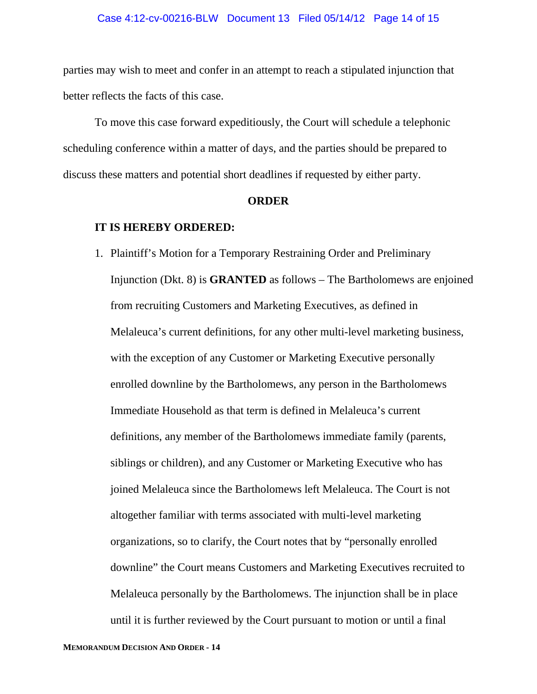parties may wish to meet and confer in an attempt to reach a stipulated injunction that better reflects the facts of this case.

To move this case forward expeditiously, the Court will schedule a telephonic scheduling conference within a matter of days, and the parties should be prepared to discuss these matters and potential short deadlines if requested by either party.

#### **ORDER**

#### **IT IS HEREBY ORDERED:**

1. Plaintiff's Motion for a Temporary Restraining Order and Preliminary Injunction (Dkt. 8) is **GRANTED** as follows – The Bartholomews are enjoined from recruiting Customers and Marketing Executives, as defined in Melaleuca's current definitions, for any other multi-level marketing business, with the exception of any Customer or Marketing Executive personally enrolled downline by the Bartholomews, any person in the Bartholomews Immediate Household as that term is defined in Melaleuca's current definitions, any member of the Bartholomews immediate family (parents, siblings or children), and any Customer or Marketing Executive who has joined Melaleuca since the Bartholomews left Melaleuca. The Court is not altogether familiar with terms associated with multi-level marketing organizations, so to clarify, the Court notes that by "personally enrolled downline" the Court means Customers and Marketing Executives recruited to Melaleuca personally by the Bartholomews. The injunction shall be in place until it is further reviewed by the Court pursuant to motion or until a final